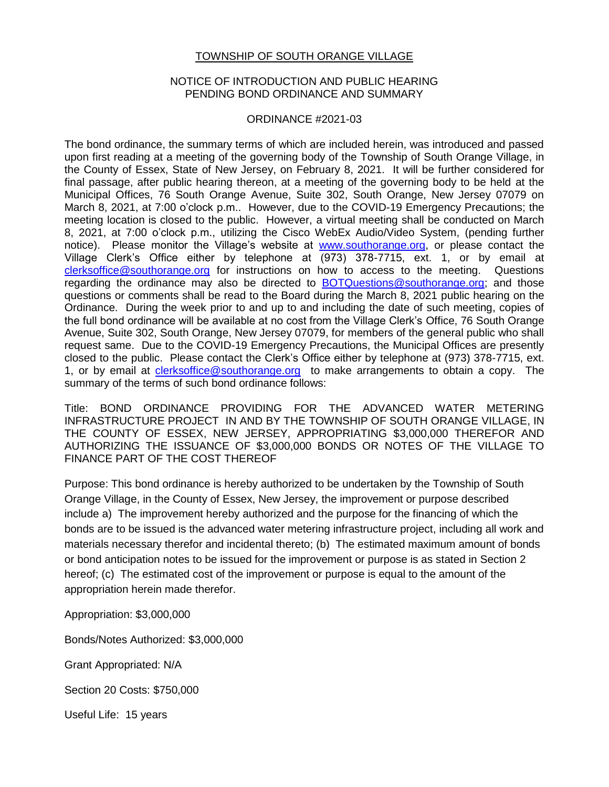## TOWNSHIP OF SOUTH ORANGE VILLAGE

## NOTICE OF INTRODUCTION AND PUBLIC HEARING PENDING BOND ORDINANCE AND SUMMARY

## ORDINANCE #2021-03

The bond ordinance, the summary terms of which are included herein, was introduced and passed upon first reading at a meeting of the governing body of the Township of South Orange Village, in the County of Essex, State of New Jersey, on February 8, 2021. It will be further considered for final passage, after public hearing thereon, at a meeting of the governing body to be held at the Municipal Offices, 76 South Orange Avenue, Suite 302, South Orange, New Jersey 07079 on March 8, 2021, at 7:00 o'clock p.m.. However, due to the COVID-19 Emergency Precautions; the meeting location is closed to the public. However, a virtual meeting shall be conducted on March 8, 2021, at 7:00 o'clock p.m., utilizing the Cisco WebEx Audio/Video System, (pending further notice). Please monitor the Village's website at [www.southorange.org,](http://www.southorange.org/) or please contact the Village Clerk's Office either by telephone at (973) 378-7715, ext. 1, or by email at [clerksoffice@southorange.org](mailto:clerksoffice@southorange.org) for instructions on how to access to the meeting. Questions regarding the ordinance may also be directed to [BOTQuestions@southorange.org;](mailto:BOTQuestions@southorange.org) and those questions or comments shall be read to the Board during the March 8, 2021 public hearing on the Ordinance. During the week prior to and up to and including the date of such meeting, copies of the full bond ordinance will be available at no cost from the Village Clerk's Office, 76 South Orange Avenue, Suite 302, South Orange, New Jersey 07079, for members of the general public who shall request same. Due to the COVID-19 Emergency Precautions, the Municipal Offices are presently closed to the public. Please contact the Clerk's Office either by telephone at (973) 378-7715, ext. 1, or by email at [clerksoffice@southorange.org](mailto:clerksoffice@southorange.org) to make arrangements to obtain a copy. The summary of the terms of such bond ordinance follows:

Title: BOND ORDINANCE PROVIDING FOR THE ADVANCED WATER METERING INFRASTRUCTURE PROJECT IN AND BY THE TOWNSHIP OF SOUTH ORANGE VILLAGE, IN THE COUNTY OF ESSEX, NEW JERSEY, APPROPRIATING \$3,000,000 THEREFOR AND AUTHORIZING THE ISSUANCE OF \$3,000,000 BONDS OR NOTES OF THE VILLAGE TO FINANCE PART OF THE COST THEREOF

Purpose: This bond ordinance is hereby authorized to be undertaken by the Township of South Orange Village, in the County of Essex, New Jersey, the improvement or purpose described include a) The improvement hereby authorized and the purpose for the financing of which the bonds are to be issued is the advanced water metering infrastructure project, including all work and materials necessary therefor and incidental thereto; (b) The estimated maximum amount of bonds or bond anticipation notes to be issued for the improvement or purpose is as stated in Section 2 hereof; (c) The estimated cost of the improvement or purpose is equal to the amount of the appropriation herein made therefor.

Appropriation: \$3,000,000

Bonds/Notes Authorized: \$3,000,000

Grant Appropriated: N/A

Section 20 Costs: \$750,000

Useful Life: 15 years